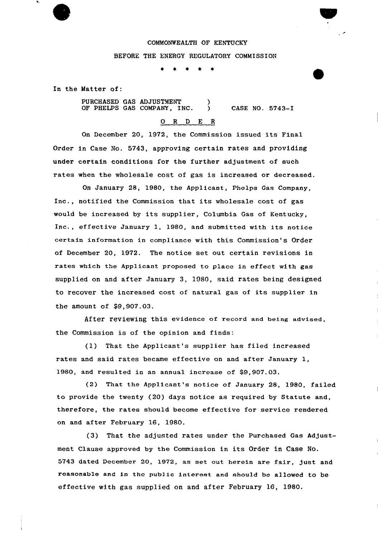## COMMONWEALTH OF KENTUCKY

## BEFORE THE ENERGY REGULATORY COMMISSION

\* \*  $\star$ 一家

In the Matter of:

PURCHASED GAS ADJUSTMENT ) OF PHELPS GAS COMPANY, INC. ) CASE NO. 5743-I

## 0 R <sup>D</sup> E <sup>R</sup>

On December 20, 1972, the Commission issued its Final Order in Case No. 5743, approving certain rates and providing under certain conditions for the further adjustment of such rates when the wholesale cost of gas is increased or decreased.

On January 28, 1980, the Applicant, Phelps Gas Company, Inc., notified the Commission that its wholesale cost of gas would be increased by its supplier, Columbia Gas of Kentucky, Inc., effective January 1, 1980, and submitted with its notice certain information in compliance with this Commission's Order of December 20, 1972. The notice set out certain revisions in rates which the Applicant proposed to place in effect with gas supplied on and after January 3, 1980, said rates being designed to recover the increased cost of natural gas of its supplier in the amount of \$9,907.03.

After reviewing this evidence of record and being advised, the Commission is of the opinion and finds:

(1) That the Applicant's supplier has filed increased rates and said rates became effective on and after January 1, 1980, and resulted in an annual increase of \$9,907.03.

(2) That the Applicant's notice of January 28, 1980, failed to provide the twenty (20) days notice as required by Statute and, therefore, the rates should become effective for service rendered on and after February 16, 1980.

(3) That the adjusted rates under the purchased Gas Adjustment Clause approved by the Commission in its Order in Case No. 5743 dated December 20, 1972, as set out herein are fair, just and reasonable and in the public interest and should be allowed to be effective with gas supplied on and after February 16, 1980.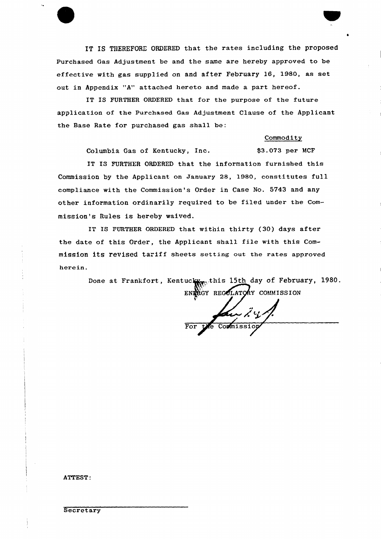IT IS THEREFORE ORDERED that the rates including the proposed Purchased Gas Adjustment be and the same are hereby approved to be effective with gas supplied on and after February 16, 1980, as set out in Appendix "A" attached hereto and made a part hereof.

IT IS FURTHER ORDERED that for the purpose of the future application of the purchased Gas Adjustment Clause of the Applicant the Base Rate for purchased gas shall be:

## Commodity

Columbia Gas of Kentucky, Inc. \$3.073 per MCF

IT IS FURTHER ORDERED that the information furnished this Commission by the Applicant on January 28, 1980, constitutes full compliance with the Commission's Order in Case No. 5743 and any other information ordinarily required to be filed under the Commission's Rules is hereby waived.

IT IS FURTHER ORDERED that within thirty (30) days after the date of this Order, the Applicant shall file with this Commission its revised tariff sheets setting out the rates approved herein

> Done at Frankfort, Kentuck<sub>Wow</sub>this 15th day of February, 1980. ENRIGY REGOLATORY COMMISSION

For the Commission

ATTEST: